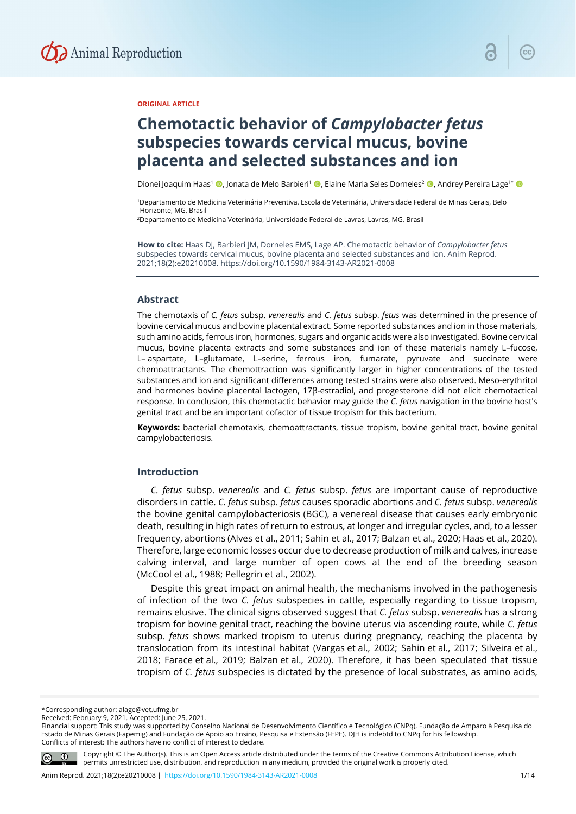

## **ORIGINAL ARTICLE**

# **Chemotactic behavior of** *Campylobacter fetus* **subspecies towards cervical mucus, bovine placenta and selected substances and ion**

Dionei Joaquim Haas<sup>1</sup> (D. Jonata de Melo Barbieri<sup>1</sup> (D. Elaine Maria Seles Dorneles<sup>2</sup> (D. Andrey Pereira Lage<sup>1\*</sup> (D

1Departamento de Medicina Veterinária Preventiva, Escola de Veterinária, Universidade Federal de Minas Gerais, Belo Horizonte, MG, Brasil

2Departamento de Medicina Veterinária, Universidade Federal de Lavras, Lavras, MG, Brasil

**How to cite:** Haas DJ, Barbieri JM, Dorneles EMS, Lage AP. Chemotactic behavior of *Campylobacter fetus* subspecies towards cervical mucus, bovine placenta and selected substances and ion. Anim Reprod. 2021;18(2):e20210008. https://doi.org/10.1590/1984-3143-AR2021-0008

#### **Abstract**

The chemotaxis of *C. fetus* subsp. *venerealis* and *C. fetus* subsp. *fetus* was determined in the presence of bovine cervical mucus and bovine placental extract. Some reported substances and ion in those materials, such amino acids, ferrous iron, hormones, sugars and organic acids were also investigated. Bovine cervical mucus, bovine placenta extracts and some substances and ion of these materials namely L–fucose, L– aspartate, L–glutamate, L–serine, ferrous iron, fumarate, pyruvate and succinate were chemoattractants. The chemottraction was significantly larger in higher concentrations of the tested substances and ion and significant differences among tested strains were also observed. Meso-erythritol and hormones bovine placental lactogen, 17β-estradiol, and progesterone did not elicit chemotactical response. In conclusion, this chemotactic behavior may guide the *C. fetus* navigation in the bovine host's genital tract and be an important cofactor of tissue tropism for this bacterium.

**Keywords:** bacterial chemotaxis, chemoattractants, tissue tropism, bovine genital tract, bovine genital campylobacteriosis.

## **Introduction**

*C. fetus* subsp. *venerealis* and *C. fetus* subsp. *fetus* are important cause of reproductive disorders in cattle. *C. fetus* subsp. *fetus* causes sporadic abortions and *C. fetus* subsp. *venerealis* the bovine genital campylobacteriosis (BGC), a venereal disease that causes early embryonic death, resulting in high rates of return to estrous, at longer and irregular cycles, and, to a lesser frequency, abortions (Alves et al., 2011; Sahin et al., 2017; Balzan et al., 2020; Haas et al., 2020). Therefore, large economic losses occur due to decrease production of milk and calves, increase calving interval, and large number of open cows at the end of the breeding season (McCool et al., 1988; Pellegrin et al., 2002).

Despite this great impact on animal health, the mechanisms involved in the pathogenesis of infection of the two *C. fetus* subspecies in cattle, especially regarding to tissue tropism, remains elusive. The clinical signs observed suggest that *C. fetus* subsp. *venerealis* has a strong tropism for bovine genital tract, reaching the bovine uterus via ascending route, while *C. fetus* subsp. *fetus* shows marked tropism to uterus during pregnancy, reaching the placenta by translocation from its intestinal habitat (Vargas et al., 2002; Sahin et al., 2017; Silveira et al., 2018; Farace et al., 2019; Balzan et al., 2020). Therefore, it has been speculated that tissue tropism of *C. fetus* subspecies is dictated by the presence of local substrates, as amino acids,

Received: February 9, 2021. Accepted: June 25, 2021.

Financial support: This study was supported by Conselho Nacional de Desenvolvimento Científico e Tecnológico (CNPq), Fundação de Amparo à Pesquisa do Estado de Minas Gerais (Fapemig) and Fundação de Apoio ao Ensino, Pesquisa e Extensão (FEPE). DJH is indebtd to CNPq for his fellowship. Conflicts of interest: The authors have no conflict of interest to declare.



Copyright © The Author(s). This is an Open Access article distributed under the terms of the Creative Commons Attribution License, which permits unrestricted use, distribution, and reproduction in any medium, provided the original work is properly cited.

<sup>\*</sup>Corresponding author: alage@vet.ufmg.br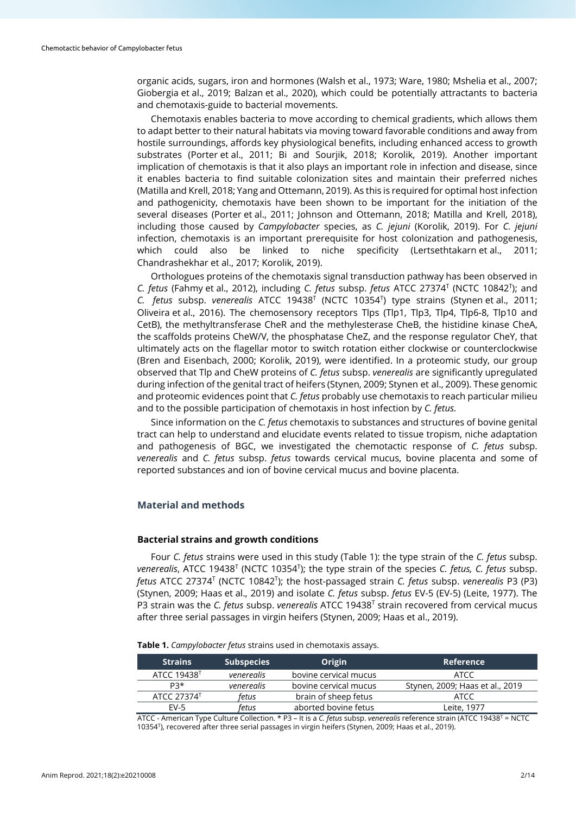organic acids, sugars, iron and hormones (Walsh et al., 1973; Ware, 1980; Mshelia et al., 2007; Giobergia et al., 2019; Balzan et al., 2020), which could be potentially attractants to bacteria and chemotaxis-guide to bacterial movements.

Chemotaxis enables bacteria to move according to chemical gradients, which allows them to adapt better to their natural habitats via moving toward favorable conditions and away from hostile surroundings, affords key physiological benefits, including enhanced access to growth substrates (Porter et al., 2011; Bi and Sourjik, 2018; Korolik, 2019). Another important implication of chemotaxis is that it also plays an important role in infection and disease, since it enables bacteria to find suitable colonization sites and maintain their preferred niches (Matilla and Krell, 2018; Yang and Ottemann, 2019). As this is required for optimal host infection and pathogenicity, chemotaxis have been shown to be important for the initiation of the several diseases (Porter et al., 2011; Johnson and Ottemann, 2018; Matilla and Krell, 2018), including those caused by *Campylobacter* species, as *C. jejuni* (Korolik, 2019). For *C. jejuni* infection, chemotaxis is an important prerequisite for host colonization and pathogenesis, which could also be linked to niche specificity (Lertsethtakarnet al., 2011; Chandrashekhar et al., 2017; Korolik, 2019).

Orthologues proteins of the chemotaxis signal transduction pathway has been observed in *C. fetus* (Fahmy et al., 2012), including *C. fetus* subsp. *fetus* ATCC 27374T (NCTC 10842T ); and *C. fetus* subsp. *venerealis* ATCC 19438T (NCTC 10354T ) type strains (Stynen et al., 2011; Oliveira et al., 2016). The chemosensory receptors Tlps (Tlp1, Tlp3, Tlp4, Tlp6-8, Tlp10 and CetB), the methyltransferase CheR and the methylesterase CheB, the histidine kinase CheA, the scaffolds proteins CheW/V, the phosphatase CheZ, and the response regulator CheY, that ultimately acts on the flagellar motor to switch rotation either clockwise or counterclockwise (Bren and Eisenbach, 2000; Korolik, 2019), were identified. In a proteomic study, our group observed that Tlp and CheW proteins of *C. fetus* subsp. *venerealis* are significantly upregulated during infection of the genital tract of heifers (Stynen, 2009; Stynen et al., 2009). These genomic and proteomic evidences point that *C. fetus* probably use chemotaxis to reach particular milieu and to the possible participation of chemotaxis in host infection by *C. fetus.*

Since information on the *C. fetus* chemotaxis to substances and structures of bovine genital tract can help to understand and elucidate events related to tissue tropism, niche adaptation and pathogenesis of BGC, we investigated the chemotactic response of *C. fetus* subsp. *venerealis* and *C. fetus* subsp. *fetus* towards cervical mucus, bovine placenta and some of reported substances and ion of bovine cervical mucus and bovine placenta.

## **Material and methods**

## **Bacterial strains and growth conditions**

Four *C. fetus* strains were used in this study (Table 1): the type strain of the *C. fetus* subsp. venerealis, ATCC 19438<sup>T</sup> (NCTC 10354<sup>T</sup>); the type strain of the species *C. fetus, C. fetus* subsp. *fetus* ATCC 27374T (NCTC 10842T ); the host-passaged strain *C. fetus* subsp. *venerealis* P3 (P3) (Stynen, 2009; Haas et al., 2019) and isolate *C. fetus* subsp. *fetus* EV-5 (EV-5) (Leite, 1977). The P3 strain was the *C. fetus* subsp. *venerealis* ATCC 19438T strain recovered from cervical mucus after three serial passages in virgin heifers (Stynen, 2009; Haas et al., 2019).

**Table 1.** *Campylobacter fetus* strains used in chemotaxis assays.

| <b>Strains</b>          | Subspecies <sup> </sup> | Origin                | <b>Reference</b>                |  |
|-------------------------|-------------------------|-----------------------|---------------------------------|--|
| ATCC 19438 <sup>T</sup> | venerealis              | bovine cervical mucus | ATCC                            |  |
| P3*                     | venerealis              | bovine cervical mucus | Stynen, 2009; Haas et al., 2019 |  |
| ATCC 27374T             | fetus                   | brain of sheep fetus  | ATCC                            |  |
| <b>FV-5</b>             | fetus                   | aborted bovine fetus  | Leite. 1977                     |  |

ATCC - American Type Culture Collection. \* P3 – It is a *C. fetus* subsp. *venerealis* reference strain (ATCC 19438T = NCTC 10354T), recovered after three serial passages in virgin heifers (Stynen, 2009; Haas et al., 2019).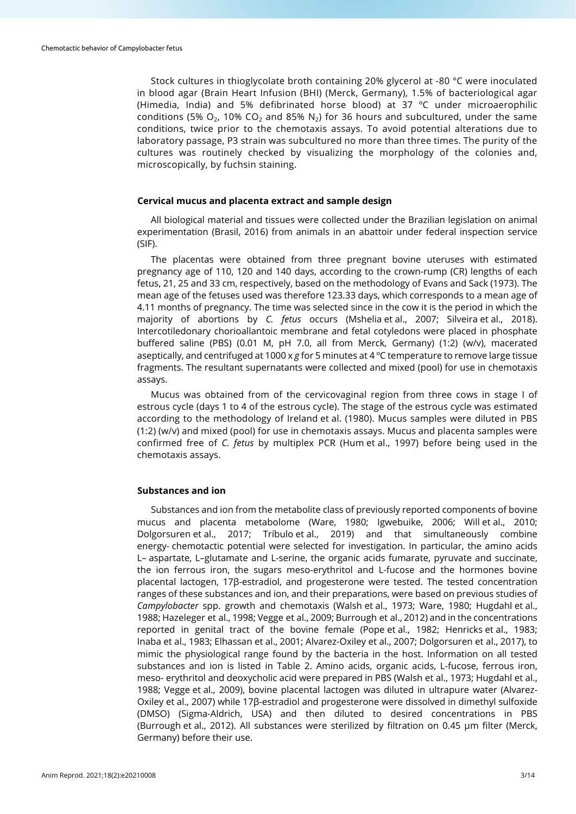Stock cultures in thioglycolate broth containing 20% glycerol at -80 °C were inoculated in blood agar (Brain Heart Infusion (BHI) (Merck, Germany), 1.5% of bacteriological agar (Himedia, India) and 5% defibrinated horse blood) at 37 ºC under microaerophilic conditions (5%  $O_2$ , 10% CO<sub>2</sub> and 85% N<sub>2</sub>) for 36 hours and subcultured, under the same conditions, twice prior to the chemotaxis assays. To avoid potential alterations due to laboratory passage, P3 strain was subcultured no more than three times. The purity of the cultures was routinely checked by visualizing the morphology of the colonies and, microscopically, by fuchsin staining.

## **Cervical mucus and placenta extract and sample design**

All biological material and tissues were collected under the Brazilian legislation on animal experimentation (Brasil, 2016) from animals in an abattoir under federal inspection service (SIF).

The placentas were obtained from three pregnant bovine uteruses with estimated pregnancy age of 110, 120 and 140 days, according to the crown-rump (CR) lengths of each fetus, 21, 25 and 33 cm, respectively, based on the methodology of Evans and Sack (1973). The mean age of the fetuses used was therefore 123.33 days, which corresponds to a mean age of 4.11 months of pregnancy. The time was selected since in the cow it is the period in which the majority of abortions by *C. fetus* occurs (Mshelia et al., 2007; Silveira et al., 2018). Intercotiledonary chorioallantoic membrane and fetal cotyledons were placed in phosphate buffered saline (PBS) (0.01 M, pH 7.0, all from Merck, Germany) (1:2) (w/v), macerated aseptically, and centrifuged at 1000 x *g* for 5 minutes at 4 ºC temperature to remove large tissue fragments. The resultant supernatants were collected and mixed (pool) for use in chemotaxis assays.

Mucus was obtained from of the cervicovaginal region from three cows in stage I of estrous cycle (days 1 to 4 of the estrous cycle). The stage of the estrous cycle was estimated according to the methodology of Ireland et al. (1980). Mucus samples were diluted in PBS (1:2) (w/v) and mixed (pool) for use in chemotaxis assays. Mucus and placenta samples were confirmed free of *C. fetus* by multiplex PCR (Hum et al., 1997) before being used in the chemotaxis assays.

## **Substances and ion**

Substances and ion from the metabolite class of previously reported components of bovine mucus and placenta metabolome (Ware, 1980; Igwebuike, 2006; Will et al., 2010; Dolgorsuren et al., 2017; Tríbulo et al., 2019) and that simultaneously combine energy- chemotactic potential were selected for investigation. In particular, the amino acids L– aspartate, L–glutamate and L-serine, the organic acids fumarate, pyruvate and succinate, the ion ferrous iron, the sugars meso-erythritol and L-fucose and the hormones bovine placental lactogen, 17β-estradiol, and progesterone were tested. The tested concentration ranges of these substances and ion, and their preparations, were based on previous studies of *Campylobacter* spp. growth and chemotaxis (Walsh et al., 1973; Ware, 1980; Hugdahl et al., 1988; Hazeleger et al., 1998; Vegge et al., 2009; Burrough et al., 2012) and in the concentrations reported in genital tract of the bovine female (Pope et al., 1982; Henricks et al., 1983; Inaba et al., 1983; Elhassan et al., 2001; Alvarez-Oxiley et al., 2007; Dolgorsuren et al., 2017), to mimic the physiological range found by the bacteria in the host. Information on all tested substances and ion is listed in Table 2. Amino acids, organic acids, L-fucose, ferrous iron, meso- erythritol and deoxycholic acid were prepared in PBS (Walsh et al., 1973; Hugdahl et al., 1988; Vegge et al., 2009), bovine placental lactogen was diluted in ultrapure water (Alvarez-Oxiley et al., 2007) while 17β-estradiol and progesterone were dissolved in dimethyl sulfoxide (DMSO) (Sigma-Aldrich, USA) and then diluted to desired concentrations in PBS (Burrough et al., 2012). All substances were sterilized by filtration on 0.45 µm filter (Merck, Germany) before their use.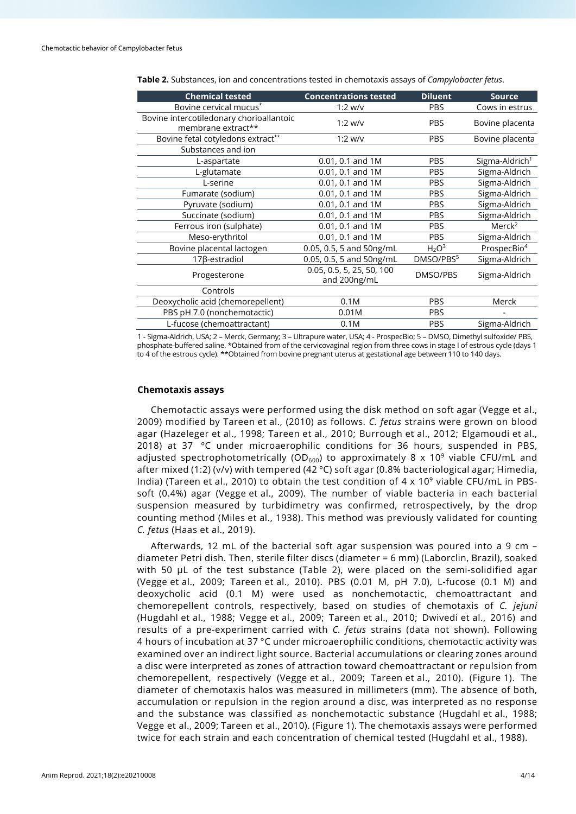| <b>Chemical tested</b>                                         | <b>Concentrations tested</b>              | <b>Diluent</b>                | <b>Source</b>              |
|----------------------------------------------------------------|-------------------------------------------|-------------------------------|----------------------------|
| Bovine cervical mucus <sup>*</sup>                             | $1:2$ w/v                                 | <b>PBS</b>                    | Cows in estrus             |
| Bovine intercotiledonary chorioallantoic<br>membrane extract** | $1:2$ w/v                                 | <b>PBS</b>                    | Bovine placenta            |
| Bovine fetal cotyledons extract**                              | $1:2$ w/v                                 | <b>PBS</b>                    | Bovine placenta            |
| Substances and ion                                             |                                           |                               |                            |
| L-aspartate                                                    | 0.01, 0.1 and 1M                          | <b>PBS</b>                    | Sigma-Aldrich <sup>1</sup> |
| L-glutamate                                                    | 0.01, 0.1 and 1M                          | <b>PBS</b>                    | Sigma-Aldrich              |
| L-serine                                                       | 0.01, 0.1 and 1M                          | <b>PBS</b>                    | Sigma-Aldrich              |
| Fumarate (sodium)                                              | 0.01, 0.1 and 1M                          | <b>PBS</b>                    | Sigma-Aldrich              |
| Pyruvate (sodium)                                              | 0.01, 0.1 and 1M                          | <b>PBS</b>                    | Sigma-Aldrich              |
| Succinate (sodium)                                             | 0.01, 0.1 and 1M                          | <b>PBS</b>                    | Sigma-Aldrich              |
| Ferrous iron (sulphate)                                        | 0.01, 0.1 and 1M                          | <b>PBS</b>                    | Merck <sup>2</sup>         |
| Meso-erythritol                                                | 0.01, 0.1 and 1M                          | <b>PBS</b>                    | Sigma-Aldrich              |
| Bovine placental lactogen                                      | 0.05, 0.5, 5 and 50ng/mL                  | H <sub>2</sub> O <sup>3</sup> | ProspecBio <sup>4</sup>    |
| 17ß-estradiol                                                  | 0.05, 0.5, 5 and 50ng/mL                  | DMSO/PBS5                     | Sigma-Aldrich              |
| Progesterone                                                   | 0.05, 0.5, 5, 25, 50, 100<br>and 200ng/mL | DMSO/PBS                      | Sigma-Aldrich              |
| Controls                                                       |                                           |                               |                            |
| Deoxycholic acid (chemorepellent)                              | 0.1M                                      | <b>PBS</b>                    | Merck                      |
| PBS pH 7.0 (nonchemotactic)                                    | 0.01M                                     | <b>PBS</b>                    |                            |
| L-fucose (chemoattractant)                                     | 0.1M                                      | <b>PBS</b>                    | Sigma-Aldrich              |

**Table 2.** Substances, ion and concentrations tested in chemotaxis assays of *Campylobacter fetus*.

1 - Sigma-Aldrich, USA; 2 – Merck, Germany; 3 – Ultrapure water, USA; 4 - ProspecBio; 5 – DMSO, Dimethyl sulfoxide/ PBS, phosphate-buffered saline. \*Obtained from of the cervicovaginal region from three cows in stage I of estrous cycle (days 1 to 4 of the estrous cycle). \*\*Obtained from bovine pregnant uterus at gestational age between 110 to 140 days.

#### **Chemotaxis assays**

Chemotactic assays were performed using the disk method on soft agar (Vegge et al., 2009) modified by Tareen et al., (2010) as follows. *C. fetus* strains were grown on blood agar (Hazeleger et al., 1998; Tareen et al., 2010; Burrough et al., 2012; Elgamoudi et al., 2018) at 37 °C under microaerophilic conditions for 36 hours, suspended in PBS, adjusted spectrophotometrically (OD<sub>600</sub>) to approximately 8 x 10<sup>9</sup> viable CFU/mL and after mixed (1:2) (v/v) with tempered (42 ºC) soft agar (0.8% bacteriological agar; Himedia, India) (Tareen et al., 2010) to obtain the test condition of  $4 \times 10^9$  viable CFU/mL in PBSsoft (0.4%) agar (Vegge et al., 2009). The number of viable bacteria in each bacterial suspension measured by turbidimetry was confirmed, retrospectively, by the drop counting method (Miles et al., 1938). This method was previously validated for counting *C. fetus* (Haas et al., 2019).

Afterwards, 12 mL of the bacterial soft agar suspension was poured into a 9 cm – diameter Petri dish. Then, sterile filter discs (diameter = 6 mm) (Laborclin, Brazil), soaked with 50 µL of the test substance (Table 2), were placed on the semi-solidified agar (Vegge et al., 2009; Tareen et al., 2010). PBS (0.01 M, pH 7.0), L-fucose (0.1 M) and deoxycholic acid (0.1 M) were used as nonchemotactic, chemoattractant and chemorepellent controls, respectively, based on studies of chemotaxis of *C. jejuni* (Hugdahl et al., 1988; Vegge et al., 2009; Tareen et al., 2010; Dwivedi et al., 2016) and results of a pre-experiment carried with *C. fetus* strains (data not shown). Following 4 hours of incubation at 37 °C under microaerophilic conditions, chemotactic activity was examined over an indirect light source. Bacterial accumulations or clearing zones around a disc were interpreted as zones of attraction toward chemoattractant or repulsion from chemorepellent, respectively (Vegge et al., 2009; Tareen et al., 2010). (Figure 1). The diameter of chemotaxis halos was measured in millimeters (mm). The absence of both, accumulation or repulsion in the region around a disc, was interpreted as no response and the substance was classified as nonchemotactic substance (Hugdahl et al., 1988; Vegge et al., 2009; Tareen et al., 2010). (Figure 1). The chemotaxis assays were performed twice for each strain and each concentration of chemical tested (Hugdahl et al., 1988).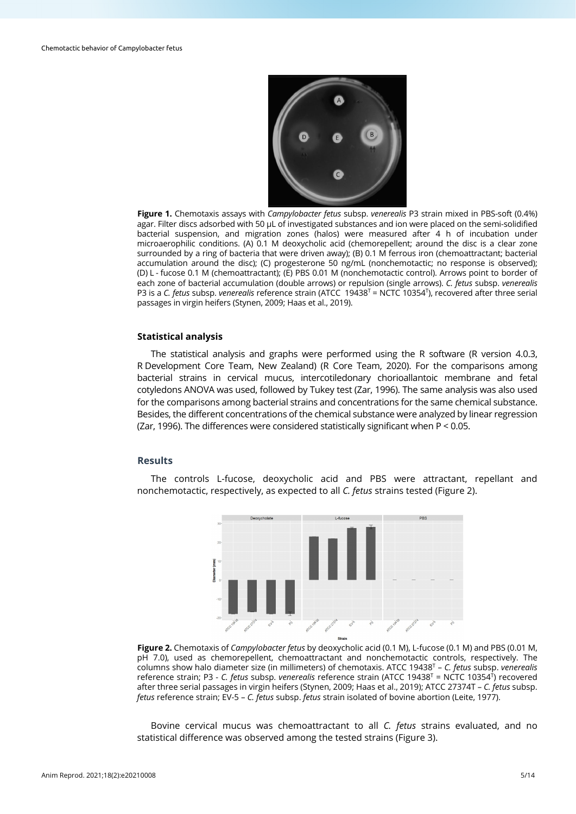

**Figure 1.** Chemotaxis assays with *Campylobacter fetus* subsp. *venerealis* P3 strain mixed in PBS-soft (0.4%) agar. Filter discs adsorbed with 50 µL of investigated substances and ion were placed on the semi-solidified bacterial suspension, and migration zones (halos) were measured after 4 h of incubation under microaerophilic conditions. (A) 0.1 M deoxycholic acid (chemorepellent; around the disc is a clear zone surrounded by a ring of bacteria that were driven away); (B) 0.1 M ferrous iron (chemoattractant; bacterial accumulation around the disc); (C) progesterone 50 ng/mL (nonchemotactic; no response is observed); (D) L - fucose 0.1 M (chemoattractant); (E) PBS 0.01 M (nonchemotactic control). Arrows point to border of each zone of bacterial accumulation (double arrows) or repulsion (single arrows). *C. fetus* subsp. *venerealis* P3 is a *C. fetus* subsp. *venerealis* reference strain (ATCC 19438<sup>T</sup> = NCTC 10354<sup>T</sup>), recovered after three serial passages in virgin heifers (Stynen, 2009; Haas et al., 2019).

## **Statistical analysis**

The statistical analysis and graphs were performed using the R software (R version 4.0.3, R Development Core Team, New Zealand) (R Core Team, 2020). For the comparisons among bacterial strains in cervical mucus, intercotiledonary chorioallantoic membrane and fetal cotyledons ANOVA was used, followed by Tukey test (Zar, 1996). The same analysis was also used for the comparisons among bacterial strains and concentrations for the same chemical substance. Besides, the different concentrations of the chemical substance were analyzed by linear regression (Zar, 1996). The differences were considered statistically significant when P < 0.05.

## **Results**

The controls L-fucose, deoxycholic acid and PBS were attractant, repellant and nonchemotactic, respectively, as expected to all *C. fetus* strains tested (Figure 2).



**Figure 2.** Chemotaxis of *Campylobacter fetus* by deoxycholic acid (0.1 M), L-fucose (0.1 M) and PBS (0.01 M, pH 7.0), used as chemorepellent, chemoattractant and nonchemotactic controls, respectively. The columns show halo diameter size (in millimeters) of chemotaxis. ATCC 19438T – *C. fetus* subsp. *venerealis* reference strain; P3 - *C. fetus* subsp. *venerealis* reference strain (ATCC 19438T = NCTC 10354T) recovered after three serial passages in virgin heifers (Stynen, 2009; Haas et al., 2019); ATCC 27374T – *C. fetus* subsp. *fetus* reference strain; EV-5 – *C. fetus* subsp. *fetus* strain isolated of bovine abortion (Leite, 1977).

Bovine cervical mucus was chemoattractant to all *C. fetus* strains evaluated, and no statistical difference was observed among the tested strains (Figure 3).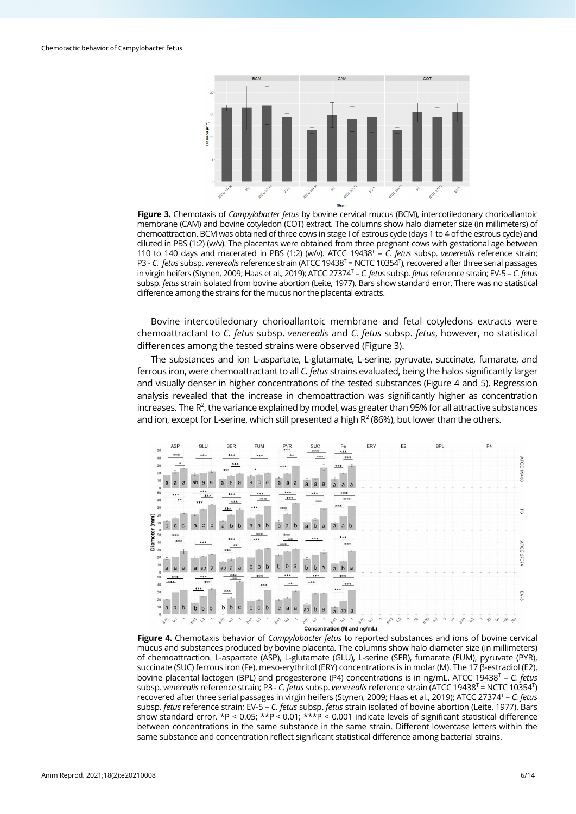

**Figure 3.** Chemotaxis of *Campylobacter fetus* by bovine cervical mucus (BCM), intercotiledonary chorioallantoic membrane (CAM) and bovine cotyledon (COT) extract. The columns show halo diameter size (in millimeters) of chemoattraction. BCM was obtained of three cows in stage I of estrous cycle (days 1 to 4 of the estrous cycle) and diluted in PBS (1:2) (w/v). The placentas were obtained from three pregnant cows with gestational age between 110 to 140 days and macerated in PBS (1:2) (w/v). ATCC 19438T – *C. fetus* subsp. *venerealis* reference strain; P3 - C. fetus subsp. *venerealis* reference strain (ATCC 19438<sup>T</sup> = NCTC 10354<sup>T</sup>), recovered after three serial passages in virgin heifers (Stynen, 2009; Haas et al., 2019); ATCC 27374T – *C. fetus* subsp. *fetus* reference strain; EV-5 – *C. fetus* subsp. *fetus* strain isolated from bovine abortion (Leite, 1977). Bars show standard error. There was no statistical difference among the strains for the mucus nor the placental extracts.

Bovine intercotiledonary chorioallantoic membrane and fetal cotyledons extracts were chemoattractant to *C. fetus* subsp. *venerealis* and *C. fetus* subsp. *fetus*, however, no statistical differences among the tested strains were observed (Figure 3).

The substances and ion L-aspartate, L-glutamate, L-serine, pyruvate, succinate, fumarate, and ferrous iron, were chemoattractant to all *C. fetus* strains evaluated, being the halos significantly larger and visually denser in higher concentrations of the tested substances (Figure 4 and 5). Regression analysis revealed that the increase in chemoattraction was significantly higher as concentration increases. The  $R^2$ , the variance explained by model, was greater than 95% for all attractive substances and ion, except for L-serine, which still presented a high  $R<sup>2</sup>$  (86%), but lower than the others.



Concentration (M and ng/mL)

**Figure 4.** Chemotaxis behavior of *Campylobacter fetus* to reported substances and ions of bovine cervical mucus and substances produced by bovine placenta. The columns show halo diameter size (in millimeters) of chemoattraction. L-aspartate (ASP), L-glutamate (GLU), L-serine (SER), fumarate (FUM), pyruvate (PYR), succinate (SUC) ferrous iron (Fe), meso-erythritol (ERY) concentrations is in molar (M). The 17 β-estradiol (E2), bovine placental lactogen (BPL) and progesterone (P4) concentrations is in ng/mL. ATCC 19438T – *C. fetus* subsp. *venerealis* reference strain; P3 - *C. fetus* subsp. *venerealis* reference strain (ATCC 19438T = NCTC 10354T) recovered after three serial passages in virgin heifers (Stynen, 2009; Haas et al., 2019); ATCC 27374T – *C. fetus* subsp. *fetus* reference strain; EV-5 – *C. fetus* subsp. *fetus* strain isolated of bovine abortion (Leite, 1977). Bars show standard error. \*P < 0.05; \*\*P < 0.01; \*\*\*P < 0.001 indicate levels of significant statistical difference between concentrations in the same substance in the same strain. Different lowercase letters within the same substance and concentration reflect significant statistical difference among bacterial strains.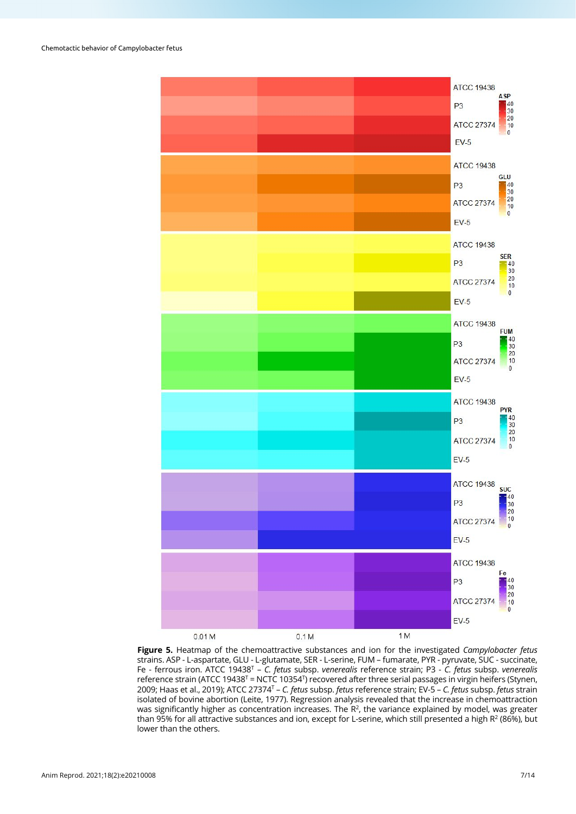

**Figure 5.** Heatmap of the chemoattractive substances and ion for the investigated *Campylobacter fetus* strains. ASP - L-aspartate, GLU - L-glutamate, SER - L-serine, FUM – fumarate, PYR - pyruvate, SUC - succinate, Fe - ferrous iron. ATCC 19438T – *C. fetus* subsp. *venerealis* reference strain; P3 - *C. fetus* subsp. *venerealis* reference strain (ATCC 19438<sup>T</sup> = NCTC 10354<sup>T</sup>) recovered after three serial passages in virgin heifers (Stynen, 2009; Haas et al., 2019); ATCC 27374T – *C. fetus* subsp. *fetus* reference strain; EV-5 – *C. fetus* subsp. *fetus* strain isolated of bovine abortion (Leite, 1977). Regression analysis revealed that the increase in chemoattraction was significantly higher as concentration increases. The  $R^2$ , the variance explained by model, was greater than 95% for all attractive substances and ion, except for L-serine, which still presented a high R<sup>2</sup> (86%), but lower than the others.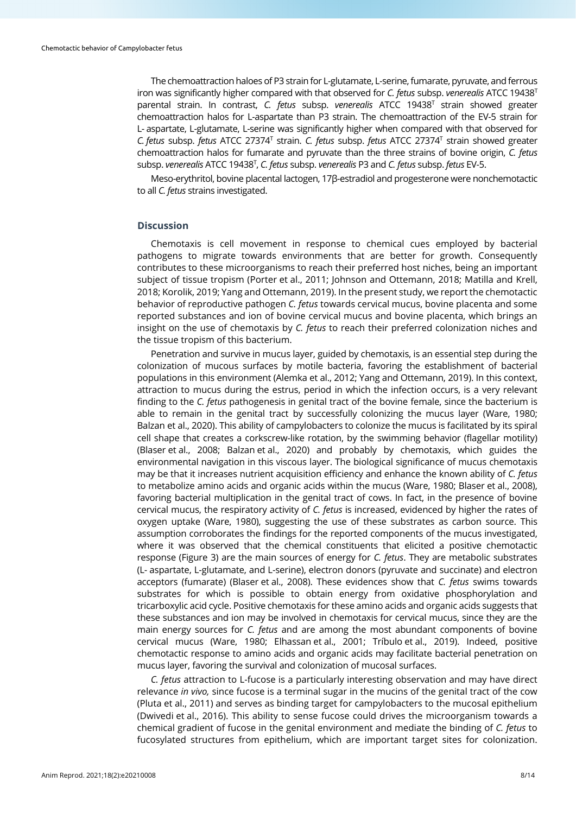The chemoattraction haloes of P3 strain for L-glutamate, L-serine, fumarate, pyruvate, and ferrous iron was significantly higher compared with that observed for *C. fetus* subsp. *venerealis* ATCC 19438T parental strain. In contrast, *C. fetus* subsp. *venerealis* ATCC 19438T strain showed greater chemoattraction halos for L-aspartate than P3 strain. The chemoattraction of the EV-5 strain for L- aspartate, L-glutamate, L-serine was significantly higher when compared with that observed for *C. fetus* subsp. *fetus* ATCC 27374T strain. *C. fetus* subsp. *fetus* ATCC 27374T strain showed greater chemoattraction halos for fumarate and pyruvate than the three strains of bovine origin, *C. fetus* subsp. *venerealis* ATCC 19438T , *C. fetus* subsp. *venerealis* P3 and *C. fetus* subsp. *fetus* EV-5.

Meso-erythritol, bovine placental lactogen, 17β-estradiol and progesterone were nonchemotactic to all *C. fetus* strains investigated.

## **Discussion**

Chemotaxis is cell movement in response to chemical cues employed by bacterial pathogens to migrate towards environments that are better for growth. Consequently contributes to these microorganisms to reach their preferred host niches, being an important subject of tissue tropism (Porter et al., 2011; Johnson and Ottemann, 2018; Matilla and Krell, 2018; Korolik, 2019; Yang and Ottemann, 2019). In the present study, we report the chemotactic behavior of reproductive pathogen *C. fetus* towards cervical mucus, bovine placenta and some reported substances and ion of bovine cervical mucus and bovine placenta, which brings an insight on the use of chemotaxis by *C. fetus* to reach their preferred colonization niches and the tissue tropism of this bacterium.

Penetration and survive in mucus layer, guided by chemotaxis, is an essential step during the colonization of mucous surfaces by motile bacteria, favoring the establishment of bacterial populations in this environment (Alemka et al., 2012; Yang and Ottemann, 2019). In this context, attraction to mucus during the estrus, period in which the infection occurs, is a very relevant finding to the *C. fetus* pathogenesis in genital tract of the bovine female, since the bacterium is able to remain in the genital tract by successfully colonizing the mucus layer (Ware, 1980; Balzan et al., 2020). This ability of campylobacters to colonize the mucus is facilitated by its spiral cell shape that creates a corkscrew-like rotation, by the swimming behavior (flagellar motility) (Blaser et al., 2008; Balzan et al., 2020) and probably by chemotaxis, which guides the environmental navigation in this viscous layer. The biological significance of mucus chemotaxis may be that it increases nutrient acquisition efficiency and enhance the known ability of *C. fetus* to metabolize amino acids and organic acids within the mucus (Ware, 1980; Blaser et al., 2008), favoring bacterial multiplication in the genital tract of cows. In fact, in the presence of bovine cervical mucus, the respiratory activity of *C. fetus* is increased, evidenced by higher the rates of oxygen uptake (Ware, 1980), suggesting the use of these substrates as carbon source. This assumption corroborates the findings for the reported components of the mucus investigated, where it was observed that the chemical constituents that elicited a positive chemotactic response (Figure 3) are the main sources of energy for *C. fetus*. They are metabolic substrates (L- aspartate, L-glutamate, and L-serine), electron donors (pyruvate and succinate) and electron acceptors (fumarate) (Blaser et al., 2008). These evidences show that *C. fetus* swims towards substrates for which is possible to obtain energy from oxidative phosphorylation and tricarboxylic acid cycle. Positive chemotaxis for these amino acids and organic acids suggests that these substances and ion may be involved in chemotaxis for cervical mucus, since they are the main energy sources for *C. fetus* and are among the most abundant components of bovine cervical mucus (Ware, 1980; Elhassan et al., 2001; Tríbulo et al., 2019). Indeed, positive chemotactic response to amino acids and organic acids may facilitate bacterial penetration on mucus layer, favoring the survival and colonization of mucosal surfaces.

*C. fetus* attraction to L-fucose is a particularly interesting observation and may have direct relevance *in vivo,* since fucose is a terminal sugar in the mucins of the genital tract of the cow (Pluta et al., 2011) and serves as binding target for campylobacters to the mucosal epithelium (Dwivedi et al., 2016). This ability to sense fucose could drives the microorganism towards a chemical gradient of fucose in the genital environment and mediate the binding of *C. fetus* to fucosylated structures from epithelium, which are important target sites for colonization.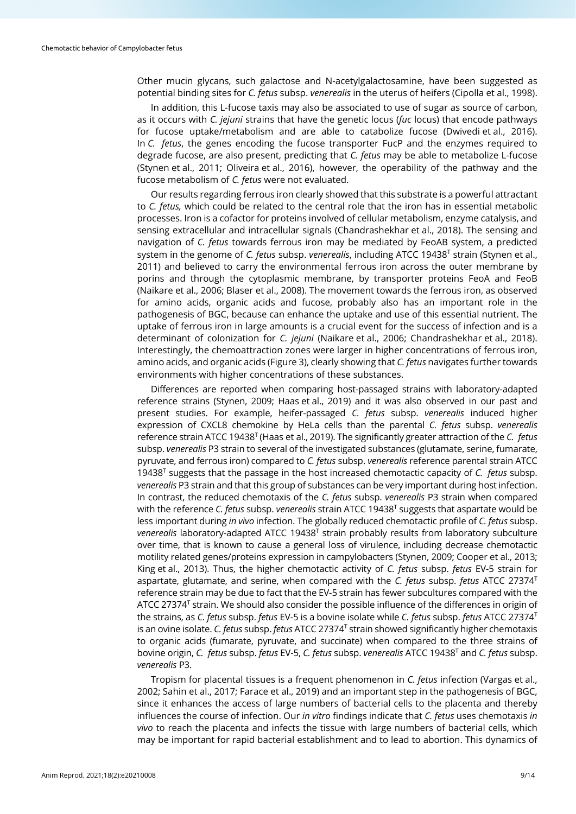Other mucin glycans, such galactose and N-acetylgalactosamine, have been suggested as potential binding sites for *C. fetus* subsp. *venerealis* in the uterus of heifers (Cipolla et al., 1998).

In addition, this L-fucose taxis may also be associated to use of sugar as source of carbon, as it occurs with *C. jejuni* strains that have the genetic locus (*fuc* locus) that encode pathways for fucose uptake/metabolism and are able to catabolize fucose (Dwivedi et al., 2016). In *C. fetus*, the genes encoding the fucose transporter FucP and the enzymes required to degrade fucose, are also present, predicting that *C. fetus* may be able to metabolize L-fucose (Stynen et al., 2011; Oliveira et al., 2016), however, the operability of the pathway and the fucose metabolism of *C. fetus* were not evaluated.

Our results regarding ferrous iron clearly showed that this substrate is a powerful attractant to *C. fetus,* which could be related to the central role that the iron has in essential metabolic processes. Iron is a cofactor for proteins involved of cellular metabolism, enzyme catalysis, and sensing extracellular and intracellular signals (Chandrashekhar et al., 2018). The sensing and navigation of *C. fetus* towards ferrous iron may be mediated by FeoAB system, a predicted system in the genome of *C. fetus* subsp. *venerealis*, including ATCC 19438T strain (Stynen et al., 2011) and believed to carry the environmental ferrous iron across the outer membrane by porins and through the cytoplasmic membrane, by transporter proteins FeoA and FeoB (Naikare et al., 2006; Blaser et al., 2008). The movement towards the ferrous iron, as observed for amino acids, organic acids and fucose, probably also has an important role in the pathogenesis of BGC, because can enhance the uptake and use of this essential nutrient. The uptake of ferrous iron in large amounts is a crucial event for the success of infection and is a determinant of colonization for *C. jejuni* (Naikare et al., 2006; Chandrashekhar et al., 2018). Interestingly, the chemoattraction zones were larger in higher concentrations of ferrous iron, amino acids, and organic acids (Figure 3), clearly showing that *C. fetus* navigates further towards environments with higher concentrations of these substances.

Differences are reported when comparing host-passaged strains with laboratory-adapted reference strains (Stynen, 2009; Haas et al., 2019) and it was also observed in our past and present studies. For example, heifer-passaged *C. fetus* subsp. *venerealis* induced higher expression of CXCL8 chemokine by HeLa cells than the parental *C. fetus* subsp. *venerealis* reference strain ATCC 19438T (Haas et al., 2019). The significantly greater attraction of the *C. fetus* subsp. *venerealis* P3 strain to several of the investigated substances (glutamate, serine, fumarate, pyruvate, and ferrous iron) compared to *C. fetus* subsp. *venerealis* reference parental strain ATCC 19438T suggests that the passage in the host increased chemotactic capacity of *C. fetus* subsp. *venerealis* P3 strain and that this group of substances can be very important during host infection. In contrast, the reduced chemotaxis of the *C. fetus* subsp. *venerealis* P3 strain when compared with the reference *C. fetus* subsp. *venerealis* strain ATCC 19438<sup>T</sup> suggests that aspartate would be less important during *in vivo* infection. The globally reduced chemotactic profile of *C. fetus* subsp. *venerealis* laboratory-adapted ATCC 19438T strain probably results from laboratory subculture over time, that is known to cause a general loss of virulence, including decrease chemotactic motility related genes/proteins expression in campylobacters (Stynen, 2009; Cooper et al., 2013; King et al., 2013). Thus, the higher chemotactic activity of *C. fetus* subsp. *fetus* EV-5 strain for aspartate, glutamate, and serine, when compared with the *C. fetus* subsp. *fetus* ATCC 27374T reference strain may be due to fact that the EV-5 strain has fewer subcultures compared with the ATCC 27374 $<sup>T</sup>$  strain. We should also consider the possible influence of the differences in origin of</sup> the strains, as *C. fetus* subsp. *fetus* EV-5 is a bovine isolate while *C. fetus* subsp. *fetus* ATCC 27374T is an ovine isolate. *C. fetus* subsp. *fetus* ATCC 27374T strain showed significantly higher chemotaxis to organic acids (fumarate, pyruvate, and succinate) when compared to the three strains of bovine origin, *C. fetus* subsp. *fetus* EV-5, *C. fetus* subsp. *venerealis* ATCC 19438T and *C. fetus* subsp. *venerealis* P3.

Tropism for placental tissues is a frequent phenomenon in *C. fetus* infection (Vargas et al., 2002; Sahin et al., 2017; Farace et al., 2019) and an important step in the pathogenesis of BGC, since it enhances the access of large numbers of bacterial cells to the placenta and thereby influences the course of infection. Our *in vitro* findings indicate that *C. fetus* uses chemotaxis *in vivo* to reach the placenta and infects the tissue with large numbers of bacterial cells, which may be important for rapid bacterial establishment and to lead to abortion. This dynamics of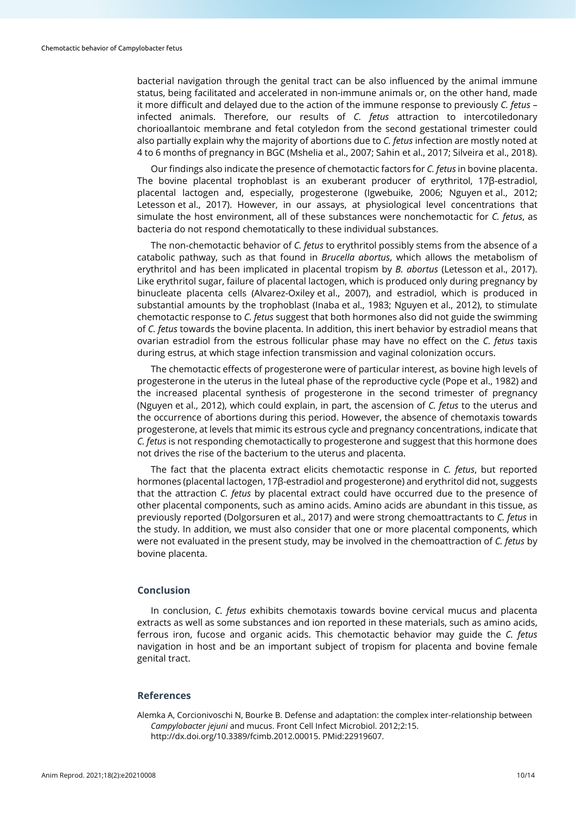bacterial navigation through the genital tract can be also influenced by the animal immune status, being facilitated and accelerated in non-immune animals or, on the other hand, made it more difficult and delayed due to the action of the immune response to previously *C. fetus* – infected animals. Therefore, our results of *C. fetus* attraction to intercotiledonary chorioallantoic membrane and fetal cotyledon from the second gestational trimester could also partially explain why the majority of abortions due to *C. fetus* infection are mostly noted at 4 to 6 months of pregnancy in BGC (Mshelia et al., 2007; Sahin et al., 2017; Silveira et al., 2018).

Our findings also indicate the presence of chemotactic factors for *C. fetus* in bovine placenta. The bovine placental trophoblast is an exuberant producer of erythritol, 17β-estradiol, placental lactogen and, especially, progesterone (Igwebuike, 2006; Nguyen et al., 2012; Letesson et al., 2017). However, in our assays, at physiological level concentrations that simulate the host environment, all of these substances were nonchemotactic for *C. fetus*, as bacteria do not respond chemotatically to these individual substances.

The non-chemotactic behavior of *C. fetus* to erythritol possibly stems from the absence of a catabolic pathway, such as that found in *Brucella abortus*, which allows the metabolism of erythritol and has been implicated in placental tropism by *B. abortus* (Letesson et al., 2017). Like erythritol sugar, failure of placental lactogen, which is produced only during pregnancy by binucleate placenta cells (Alvarez-Oxiley et al., 2007), and estradiol, which is produced in substantial amounts by the trophoblast (Inaba et al., 1983; Nguyen et al., 2012), to stimulate chemotactic response to *C. fetus* suggest that both hormones also did not guide the swimming of *C. fetus* towards the bovine placenta. In addition, this inert behavior by estradiol means that ovarian estradiol from the estrous follicular phase may have no effect on the *C. fetus* taxis during estrus, at which stage infection transmission and vaginal colonization occurs.

The chemotactic effects of progesterone were of particular interest, as bovine high levels of progesterone in the uterus in the luteal phase of the reproductive cycle (Pope et al., 1982) and the increased placental synthesis of progesterone in the second trimester of pregnancy (Nguyen et al., 2012), which could explain, in part, the ascension of *C. fetus* to the uterus and the occurrence of abortions during this period. However, the absence of chemotaxis towards progesterone, at levels that mimic its estrous cycle and pregnancy concentrations, indicate that *C. fetus* is not responding chemotactically to progesterone and suggest that this hormone does not drives the rise of the bacterium to the uterus and placenta.

The fact that the placenta extract elicits chemotactic response in *C. fetus*, but reported hormones (placental lactogen, 17β-estradiol and progesterone) and erythritol did not, suggests that the attraction *C. fetus* by placental extract could have occurred due to the presence of other placental components, such as amino acids. Amino acids are abundant in this tissue, as previously reported (Dolgorsuren et al., 2017) and were strong chemoattractants to *C. fetus* in the study. In addition, we must also consider that one or more placental components, which were not evaluated in the present study, may be involved in the chemoattraction of *C. fetus* by bovine placenta.

## **Conclusion**

In conclusion, *C. fetus* exhibits chemotaxis towards bovine cervical mucus and placenta extracts as well as some substances and ion reported in these materials, such as amino acids, ferrous iron, fucose and organic acids. This chemotactic behavior may guide the *C. fetus* navigation in host and be an important subject of tropism for placenta and bovine female genital tract.

## **References**

Alemka A, Corcionivoschi N, Bourke B. Defense and adaptation: the complex inter-relationship between *Campylobacter jejuni* and mucus. Front Cell Infect Microbiol. 2012;2:15. [http://dx.doi.org/10.3389/fcimb.2012.00015.](https://doi.org/10.3389/fcimb.2012.00015) [PMid:22919607.](https://www.ncbi.nlm.nih.gov/entrez/query.fcgi?cmd=Retrieve&db=PubMed&list_uids=22919607&dopt=Abstract)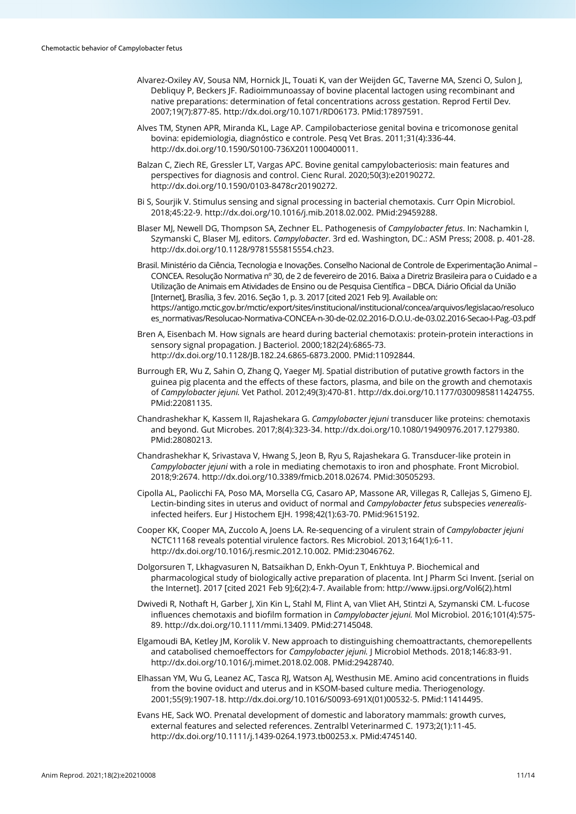- Alvarez-Oxiley AV, Sousa NM, Hornick JL, Touati K, van der Weijden GC, Taverne MA, Szenci O, Sulon J, Debliquy P, Beckers JF. Radioimmunoassay of bovine placental lactogen using recombinant and native preparations: determination of fetal concentrations across gestation. Reprod Fertil Dev. 2007;19(7):877-85. [http://dx.doi.org/10.1071/RD06173.](https://doi.org/10.1071/RD06173) [PMid:17897591.](https://www.ncbi.nlm.nih.gov/entrez/query.fcgi?cmd=Retrieve&db=PubMed&list_uids=17897591&dopt=Abstract)
- Alves TM, Stynen APR, Miranda KL, Lage AP. Campilobacteriose genital bovina e tricomonose genital bovina: epidemiologia, diagnóstico e controle. Pesq Vet Bras. 2011;31(4):336-44. [http://dx.doi.org/10.1590/S0100-736X2011000400011.](https://doi.org/10.1590/S0100-736X2011000400011)
- Balzan C, Ziech RE, Gressler LT, Vargas APC. Bovine genital campylobacteriosis: main features and perspectives for diagnosis and control. Cienc Rural. 2020;50(3):e20190272. [http://dx.doi.org/10.1590/0103-8478cr20190272.](https://doi.org/10.1590/0103-8478cr20190272)
- Bi S, Sourjik V. Stimulus sensing and signal processing in bacterial chemotaxis. Curr Opin Microbiol. 2018;45:22-9[. http://dx.doi.org/10.1016/j.mib.2018.02.002.](https://doi.org/10.1016/j.mib.2018.02.002) [PMid:29459288.](https://www.ncbi.nlm.nih.gov/entrez/query.fcgi?cmd=Retrieve&db=PubMed&list_uids=29459288&dopt=Abstract)
- Blaser MJ, Newell DG, Thompson SA, Zechner EL. Pathogenesis of *Campylobacter fetus*. In: Nachamkin I, Szymanski C, Blaser MJ, editors. *Campylobacter*. 3rd ed. Washington, DC.: ASM Press; 2008. p. 401-28. http://dx.doi.org/10.1128/9781555815554.ch23.
- Brasil. Ministério da Ciência, Tecnologia e Inovações. Conselho Nacional de Controle de Experimentação Animal CONCEA. Resolução Normativa nº 30, de 2 de fevereiro de 2016. Baixa a Diretriz Brasileira para o Cuidado e a Utilização de Animais em Atividades de Ensino ou de Pesquisa Científica – DBCA. Diário Oficial da União [Internet], Brasília, 3 fev. 2016. Seção 1, p. 3. 2017 [cited 2021 Feb 9]. Available on: https://antigo.mctic.gov.br/mctic/export/sites/institucional/institucional/concea/arquivos/legislacao/resoluco es\_normativas/Resolucao-Normativa-CONCEA-n-30-de-02.02.2016-D.O.U.-de-03.02.2016-Secao-I-Pag.-03.pdf
- Bren A, Eisenbach M. How signals are heard during bacterial chemotaxis: protein-protein interactions in sensory signal propagation. J Bacteriol. 2000;182(24):6865-73. [http://dx.doi.org/10.1128/JB.182.24.6865-6873.2000.](https://doi.org/10.1128/JB.182.24.6865-6873.2000) [PMid:11092844.](https://www.ncbi.nlm.nih.gov/entrez/query.fcgi?cmd=Retrieve&db=PubMed&list_uids=11092844&dopt=Abstract)
- Burrough ER, Wu Z, Sahin O, Zhang Q, Yaeger MJ. Spatial distribution of putative growth factors in the guinea pig placenta and the effects of these factors, plasma, and bile on the growth and chemotaxis of *Campylobacter jejuni.* Vet Pathol. 2012;49(3):470-81. [http://dx.doi.org/10.1177/0300985811424755](https://doi.org/10.1177/0300985811424755)[.](https://www.ncbi.nlm.nih.gov/entrez/query.fcgi?cmd=Retrieve&db=PubMed&list_uids=22081135&dopt=Abstract) [PMid:22081135.](https://www.ncbi.nlm.nih.gov/entrez/query.fcgi?cmd=Retrieve&db=PubMed&list_uids=22081135&dopt=Abstract)
- Chandrashekhar K, Kassem II, Rajashekara G. *Campylobacter jejuni* transducer like proteins: chemotaxis and beyond. Gut Microbes. 2017;8(4):323-34[. http://dx.doi.org/10.1080/19490976.2017.1279380.](https://doi.org/10.1080/19490976.2017.1279380) [PMid:28080213.](https://www.ncbi.nlm.nih.gov/entrez/query.fcgi?cmd=Retrieve&db=PubMed&list_uids=28080213&dopt=Abstract)
- Chandrashekhar K, Srivastava V, Hwang S, Jeon B, Ryu S, Rajashekara G. Transducer-like protein in *Campylobacter jejuni* with a role in mediating chemotaxis to iron and phosphate. Front Microbiol. 2018;9:2674[. http://dx.doi.org/10.3389/fmicb.2018.02674.](https://doi.org/10.3389/fmicb.2018.02674) [PMid:30505293.](https://www.ncbi.nlm.nih.gov/entrez/query.fcgi?cmd=Retrieve&db=PubMed&list_uids=30505293&dopt=Abstract)
- Cipolla AL, Paolicchi FA, Poso MA, Morsella CG, Casaro AP, Massone AR, Villegas R, Callejas S, Gimeno EJ. Lectin-binding sites in uterus and oviduct of normal and *Campylobacter fetus* subspecies *venerealis*infected heifers. Eur J Histochem EJH. 1998;42(1):63-70. [PMid:9615192.](https://www.ncbi.nlm.nih.gov/entrez/query.fcgi?cmd=Retrieve&db=PubMed&list_uids=9615192&dopt=Abstract)
- Cooper KK, Cooper MA, Zuccolo A, Joens LA. Re-sequencing of a virulent strain of *Campylobacter jejuni* NCTC11168 reveals potential virulence factors. Res Microbiol. 2013;164(1):6-11. [http://dx.doi.org/10.1016/j.resmic.2012.10.002.](https://doi.org/10.1016/j.resmic.2012.10.002) [PMid:23046762.](https://www.ncbi.nlm.nih.gov/entrez/query.fcgi?cmd=Retrieve&db=PubMed&list_uids=23046762&dopt=Abstract)
- Dolgorsuren T, Lkhagvasuren N, Batsaikhan D, Enkh-Oyun T, Enkhtuya P. Biochemical and pharmacological study of biologically active preparation of placenta. Int J Pharm Sci Invent. [serial on the Internet]. 2017 [cited 2021 Feb 9];6(2):4-7. Available from: http://www.ijpsi.org/Vol6(2).html
- Dwivedi R, Nothaft H, Garber J, Xin Kin L, Stahl M, Flint A, van Vliet AH, Stintzi A, Szymanski CM. L-fucose influences chemotaxis and biofilm formation in *Campylobacter jejuni.* Mol Microbiol. 2016;101(4):575- 89[. http://dx.doi.org/10.1111/mmi.13409.](https://doi.org/10.1111/mmi.13409) [PMid:27145048.](https://www.ncbi.nlm.nih.gov/entrez/query.fcgi?cmd=Retrieve&db=PubMed&list_uids=27145048&dopt=Abstract)
- Elgamoudi BA, Ketley JM, Korolik V. New approach to distinguishing chemoattractants, chemorepellents and catabolised chemoeffectors for *Campylobacter jejuni.* J Microbiol Methods. 2018;146:83-91. [http://dx.doi.org/10.1016/j.mimet.2018.02.008.](https://doi.org/10.1016/j.mimet.2018.02.008) [PMid:29428740.](https://www.ncbi.nlm.nih.gov/entrez/query.fcgi?cmd=Retrieve&db=PubMed&list_uids=29428740&dopt=Abstract)
- Elhassan YM, Wu G, Leanez AC, Tasca RJ, Watson AJ, Westhusin ME. Amino acid concentrations in fluids from the bovine oviduct and uterus and in KSOM-based culture media. Theriogenology. 2001;55(9):1907-18. [http://dx.doi.org/10.1016/S0093-691X\(01\)00532-5.](https://doi.org/10.1016/S0093-691X(01)00532-5) [PMid:11414495.](https://www.ncbi.nlm.nih.gov/entrez/query.fcgi?cmd=Retrieve&db=PubMed&list_uids=11414495&dopt=Abstract)
- Evans HE, Sack WO. Prenatal development of domestic and laboratory mammals: growth curves, external features and selected references. Zentralbl Veterinarmed C. 1973;2(1):11-45. [http://dx.doi.org/10.1111/j.1439-0264.1973.tb00253.x.](https://doi.org/10.1111/j.1439-0264.1973.tb00253.x) [PMid:4745140.](https://www.ncbi.nlm.nih.gov/entrez/query.fcgi?cmd=Retrieve&db=PubMed&list_uids=4745140&dopt=Abstract)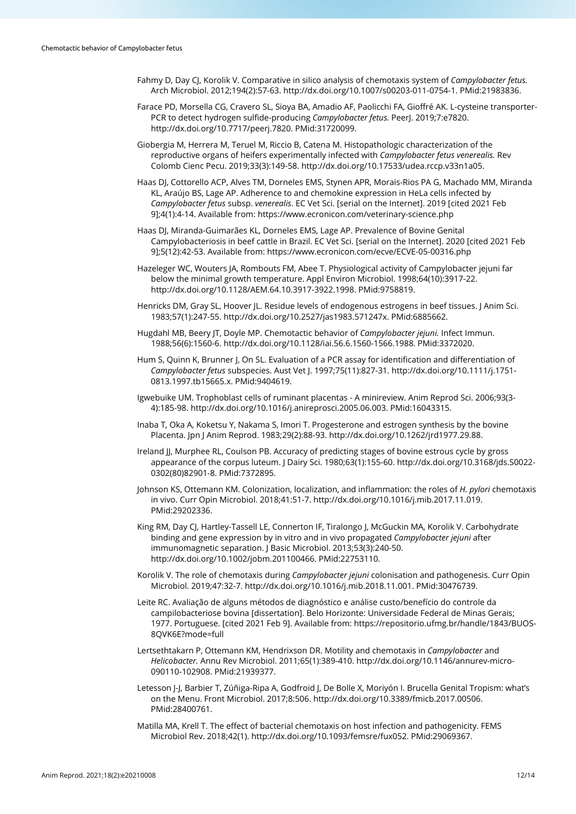- Fahmy D, Day CJ, Korolik V. Comparative in silico analysis of chemotaxis system of *Campylobacter fetus.* Arch Microbiol. 2012;194(2):57-63. [http://dx.doi.org/10.1007/s00203-011-0754-1.](https://doi.org/10.1007/s00203-011-0754-1) [PMid:21983836.](https://www.ncbi.nlm.nih.gov/entrez/query.fcgi?cmd=Retrieve&db=PubMed&list_uids=21983836&dopt=Abstract)
- Farace PD, Morsella CG, Cravero SL, Sioya BA, Amadio AF, Paolicchi FA, Gioffré AK. L-cysteine transporter-PCR to detect hydrogen sulfide-producing *Campylobacter fetus.* PeerJ. 2019;7:e7820. [http://dx.doi.org/10.7717/peerj.7820.](https://doi.org/10.7717/peerj.7820) [PMid:31720099.](https://www.ncbi.nlm.nih.gov/entrez/query.fcgi?cmd=Retrieve&db=PubMed&list_uids=31720099&dopt=Abstract)
- Giobergia M, Herrera M, Teruel M, Riccio B, Catena M. Histopathologic characterization of the reproductive organs of heifers experimentally infected with *Campylobacter fetus venerealis.* Rev Colomb Cienc Pecu. 2019;33(3):149-58[. http://dx.doi.org/10.17533/udea.rccp.v33n1a05.](https://doi.org/10.17533/udea.rccp.v33n1a05)
- Haas DJ, Cottorello ACP, Alves TM, Dorneles EMS, Stynen APR, Morais-Rios PA G, Machado MM, Miranda KL, Araújo BS, Lage AP. Adherence to and chemokine expression in HeLa cells infected by *Campylobacter fetus* subsp. *venerealis*. EC Vet Sci. [serial on the Internet]. 2019 [cited 2021 Feb 9];4(1):4-14. Available from: https://www.ecronicon.com/veterinary-science.php
- Haas DJ, Miranda-Guimarães KL, Dorneles EMS, Lage AP. Prevalence of Bovine Genital Campylobacteriosis in beef cattle in Brazil. EC Vet Sci. [serial on the Internet]. 2020 [cited 2021 Feb 9];5(12):42-53. Available from: https://www.ecronicon.com/ecve/ECVE-05-00316.php
- Hazeleger WC, Wouters JA, Rombouts FM, Abee T. Physiological activity of Campylobacter jejuni far below the minimal growth temperature. Appl Environ Microbiol. 1998;64(10):3917-22. [http://dx.doi.org/10.1128/AEM.64.10.3917-3922.1998.](https://doi.org/10.1128/AEM.64.10.3917-3922.1998) [PMid:9758819.](https://www.ncbi.nlm.nih.gov/entrez/query.fcgi?cmd=Retrieve&db=PubMed&list_uids=9758819&dopt=Abstract)
- Henricks DM, Gray SL, Hoover JL. Residue levels of endogenous estrogens in beef tissues. J Anim Sci. 1983;57(1):247-55[. http://dx.doi.org/10.2527/jas1983.571247x.](https://doi.org/10.2527/jas1983.571247x) [PMid:6885662.](https://www.ncbi.nlm.nih.gov/entrez/query.fcgi?cmd=Retrieve&db=PubMed&list_uids=6885662&dopt=Abstract)
- Hugdahl MB, Beery JT, Doyle MP. Chemotactic behavior of *Campylobacter jejuni.* Infect Immun. 1988;56(6):1560-6[. http://dx.doi.org/10.1128/iai.56.6.1560-1566.1988.](https://doi.org/10.1128/iai.56.6.1560-1566.1988) [PMid:3372020.](https://www.ncbi.nlm.nih.gov/entrez/query.fcgi?cmd=Retrieve&db=PubMed&list_uids=3372020&dopt=Abstract)
- Hum S, Quinn K, Brunner J, On SL. Evaluation of a PCR assay for identification and differentiation of *Campylobacter fetus* subspecies. Aust Vet J. 1997;75(11):827-31. [http://dx.doi.org/10.1111/j.1751-](https://doi.org/10.1111/j.1751-0813.1997.tb15665.x) [0813.1997.tb15665.x.](https://doi.org/10.1111/j.1751-0813.1997.tb15665.x) [PMid:9404619.](https://www.ncbi.nlm.nih.gov/entrez/query.fcgi?cmd=Retrieve&db=PubMed&list_uids=9404619&dopt=Abstract)
- Igwebuike UM. Trophoblast cells of ruminant placentas A minireview. Anim Reprod Sci. 2006;93(3- 4):185-98[. http://dx.doi.org/10.1016/j.anireprosci.2005.06.003.](https://doi.org/10.1016/j.anireprosci.2005.06.003) [PMid:16043315.](https://www.ncbi.nlm.nih.gov/entrez/query.fcgi?cmd=Retrieve&db=PubMed&list_uids=16043315&dopt=Abstract)
- Inaba T, Oka A, Koketsu Y, Nakama S, Imori T. Progesterone and estrogen synthesis by the bovine Placenta. Jpn J Anim Reprod. 1983;29(2):88-93[. http://dx.doi.org/10.1262/jrd1977.29.88.](https://doi.org/10.1262/jrd1977.29.88)
- Ireland JJ, Murphee RL, Coulson PB. Accuracy of predicting stages of bovine estrous cycle by gross appearance of the corpus luteum. J Dairy Sci. 1980;63(1):155-60[. http://dx.doi.org/10.3168/jds.S0022-](https://doi.org/10.3168/jds.S0022-0302(80)82901-8) [0302\(80\)82901-8.](https://doi.org/10.3168/jds.S0022-0302(80)82901-8) [PMid:7372895.](https://www.ncbi.nlm.nih.gov/entrez/query.fcgi?cmd=Retrieve&db=PubMed&list_uids=7372895&dopt=Abstract)
- Johnson KS, Ottemann KM. Colonization, localization, and inflammation: the roles of *H. pylori* chemotaxis in vivo. Curr Opin Microbiol. 2018;41:51-7. [http://dx.doi.org/10.1016/j.mib.2017.11.019.](https://doi.org/10.1016/j.mib.2017.11.019) [PMid:29202336.](https://www.ncbi.nlm.nih.gov/entrez/query.fcgi?cmd=Retrieve&db=PubMed&list_uids=29202336&dopt=Abstract)
- King RM, Day CJ, Hartley-Tassell LE, Connerton IF, Tiralongo J, McGuckin MA, Korolik V. Carbohydrate binding and gene expression by in vitro and in vivo propagated *Campylobacter jejuni* after immunomagnetic separation. J Basic Microbiol. 2013;53(3):240-50. [http://dx.doi.org/10.1002/jobm.201100466.](https://doi.org/10.1002/jobm.201100466) [PMid:22753110.](https://www.ncbi.nlm.nih.gov/entrez/query.fcgi?cmd=Retrieve&db=PubMed&list_uids=22753110&dopt=Abstract)
- Korolik V. The role of chemotaxis during *Campylobacter jejuni* colonisation and pathogenesis. Curr Opin Microbiol. 2019;47:32-7[. http://dx.doi.org/10.1016/j.mib.2018.11.001.](https://doi.org/10.1016/j.mib.2018.11.001) [PMid:30476739.](https://www.ncbi.nlm.nih.gov/entrez/query.fcgi?cmd=Retrieve&db=PubMed&list_uids=30476739&dopt=Abstract)
- Leite RC. Avaliação de alguns métodos de diagnóstico e análise custo/benefício do controle da campilobacteriose bovina [dissertation]. Belo Horizonte: Universidade Federal de Minas Gerais; 1977. Portuguese. [cited 2021 Feb 9]. Available from: https://repositorio.ufmg.br/handle/1843/BUOS-8QVK6E?mode=full
- Lertsethtakarn P, Ottemann KM, Hendrixson DR. Motility and chemotaxis in *Campylobacter* and *Helicobacter.* Annu Rev Microbiol. 2011;65(1):389-410[. http://dx.doi.org/10.1146/annurev-micro-](https://doi.org/10.1146/annurev-micro-090110-102908)[090110-102908.](https://doi.org/10.1146/annurev-micro-090110-102908) [PMid:21939377.](https://www.ncbi.nlm.nih.gov/entrez/query.fcgi?cmd=Retrieve&db=PubMed&list_uids=21939377&dopt=Abstract)
- Letesson J-J, Barbier T, Zúñiga-Ripa A, Godfroid J, De Bolle X, Moriyón I. Brucella Genital Tropism: what's on the Menu. Front Microbiol. 2017;8:506. [http://dx.doi.org/10.3389/fmicb.2017.00506](https://doi.org/10.3389/fmicb.2017.00506)[.](https://www.ncbi.nlm.nih.gov/entrez/query.fcgi?cmd=Retrieve&db=PubMed&list_uids=28400761&dopt=Abstract) [PMid:28400761.](https://www.ncbi.nlm.nih.gov/entrez/query.fcgi?cmd=Retrieve&db=PubMed&list_uids=28400761&dopt=Abstract)
- Matilla MA, Krell T. The effect of bacterial chemotaxis on host infection and pathogenicity. FEMS Microbiol Rev. 2018;42(1). [http://dx.doi.org/10.1093/femsre/fux052.](https://doi.org/10.1093/femsre/fux052) [PMid:29069367.](https://www.ncbi.nlm.nih.gov/entrez/query.fcgi?cmd=Retrieve&db=PubMed&list_uids=29069367&dopt=Abstract)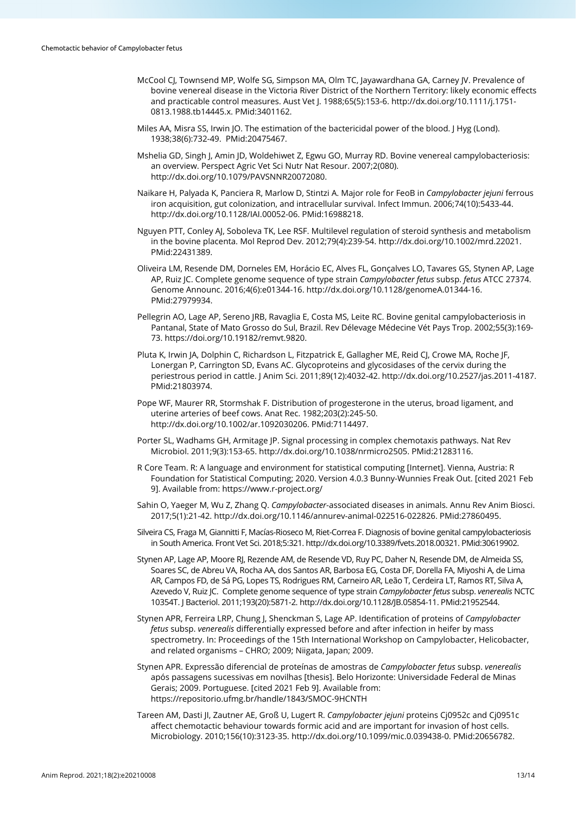- McCool CJ, Townsend MP, Wolfe SG, Simpson MA, Olm TC, Jayawardhana GA, Carney JV. Prevalence of bovine venereal disease in the Victoria River District of the Northern Territory: likely economic effects and practicable control measures. Aust Vet J. 1988;65(5):153-6[. http://dx.doi.org/10.1111/j.1751-](https://doi.org/10.1111/j.1751-0813.1988.tb14445.x) [0813.1988.tb14445.x.](https://doi.org/10.1111/j.1751-0813.1988.tb14445.x) [PMid:3401162.](https://www.ncbi.nlm.nih.gov/entrez/query.fcgi?cmd=Retrieve&db=PubMed&list_uids=3401162&dopt=Abstract)
- Miles AA, Misra SS, Irwin JO. The estimation of the bactericidal power of the blood. J Hyg (Lond). 1938;38(6):732-49. [PMid:20475467.](https://www.ncbi.nlm.nih.gov/entrez/query.fcgi?cmd=Retrieve&db=PubMed&list_uids=20475467&dopt=Abstract)
- Mshelia GD, Singh J, Amin JD, Woldehiwet Z, Egwu GO, Murray RD. Bovine venereal campylobacteriosis: an overview. Perspect Agric Vet Sci Nutr Nat Resour. 2007;2(080). [http://dx.doi.org/10.1079/PAVSNNR20072080.](https://doi.org/10.1079/PAVSNNR20072080)
- Naikare H, Palyada K, Panciera R, Marlow D, Stintzi A. Major role for FeoB in *Campylobacter jejuni* ferrous iron acquisition, gut colonization, and intracellular survival. Infect Immun. 2006;74(10):5433-44. [http://dx.doi.org/10.1128/IAI.00052-06.](https://doi.org/10.1128/IAI.00052-06) [PMid:16988218.](https://www.ncbi.nlm.nih.gov/entrez/query.fcgi?cmd=Retrieve&db=PubMed&list_uids=16988218&dopt=Abstract)
- Nguyen PTT, Conley AJ, Soboleva TK, Lee RSF. Multilevel regulation of steroid synthesis and metabolism in the bovine placenta. Mol Reprod Dev. 2012;79(4):239-54[. http://dx.doi.org/10.1002/mrd.22021](https://doi.org/10.1002/mrd.22021)[.](https://www.ncbi.nlm.nih.gov/entrez/query.fcgi?cmd=Retrieve&db=PubMed&list_uids=22431389&dopt=Abstract) [PMid:22431389.](https://www.ncbi.nlm.nih.gov/entrez/query.fcgi?cmd=Retrieve&db=PubMed&list_uids=22431389&dopt=Abstract)
- Oliveira LM, Resende DM, Dorneles EM, Horácio EC, Alves FL, Gonçalves LO, Tavares GS, Stynen AP, Lage AP, Ruiz JC. Complete genome sequence of type strain *Campylobacter fetus* subsp. *fetus* ATCC 27374. Genome Announc. 2016;4(6):e01344-16[. http://dx.doi.org/10.1128/genomeA.01344-16](https://doi.org/10.1128/genomeA.01344-16)[.](https://www.ncbi.nlm.nih.gov/entrez/query.fcgi?cmd=Retrieve&db=PubMed&list_uids=27979934&dopt=Abstract) [PMid:27979934.](https://www.ncbi.nlm.nih.gov/entrez/query.fcgi?cmd=Retrieve&db=PubMed&list_uids=27979934&dopt=Abstract)
- Pellegrin AO, Lage AP, Sereno JRB, Ravaglia E, Costa MS, Leite RC. Bovine genital campylobacteriosis in Pantanal, State of Mato Grosso do Sul, Brazil. Rev Délevage Médecine Vét Pays Trop. 2002;55(3):169- 73. https://doi.org/10.19182/remvt.9820.
- Pluta K, Irwin JA, Dolphin C, Richardson L, Fitzpatrick E, Gallagher ME, Reid CJ, Crowe MA, Roche JF, Lonergan P, Carrington SD, Evans AC. Glycoproteins and glycosidases of the cervix during the periestrous period in cattle. J Anim Sci. 2011;89(12):4032-42. [http://dx.doi.org/10.2527/jas.2011-4187](https://doi.org/10.2527/jas.2011-4187)[.](https://www.ncbi.nlm.nih.gov/entrez/query.fcgi?cmd=Retrieve&db=PubMed&list_uids=21803974&dopt=Abstract) [PMid:21803974.](https://www.ncbi.nlm.nih.gov/entrez/query.fcgi?cmd=Retrieve&db=PubMed&list_uids=21803974&dopt=Abstract)
- Pope WF, Maurer RR, Stormshak F. Distribution of progesterone in the uterus, broad ligament, and uterine arteries of beef cows. Anat Rec. 1982;203(2):245-50. [http://dx.doi.org/10.1002/ar.1092030206.](https://doi.org/10.1002/ar.1092030206) [PMid:7114497.](https://www.ncbi.nlm.nih.gov/entrez/query.fcgi?cmd=Retrieve&db=PubMed&list_uids=7114497&dopt=Abstract)
- Porter SL, Wadhams GH, Armitage JP. Signal processing in complex chemotaxis pathways. Nat Rev Microbiol. 2011;9(3):153-65. [http://dx.doi.org/10.1038/nrmicro2505.](https://doi.org/10.1038/nrmicro2505) [PMid:21283116.](https://www.ncbi.nlm.nih.gov/entrez/query.fcgi?cmd=Retrieve&db=PubMed&list_uids=21283116&dopt=Abstract)
- R Core Team. R: A language and environment for statistical computing [Internet]. Vienna, Austria: R Foundation for Statistical Computing; 2020. Version 4.0.3 Bunny-Wunnies Freak Out. [cited 2021 Feb 9]. Available from: https://www.r-project.org/
- Sahin O, Yaeger M, Wu Z, Zhang Q. *Campylobacter*-associated diseases in animals. Annu Rev Anim Biosci. 2017;5(1):21-42[. http://dx.doi.org/10.1146/annurev-animal-022516-022826.](https://doi.org/10.1146/annurev-animal-022516-022826) [PMid:27860495.](https://www.ncbi.nlm.nih.gov/entrez/query.fcgi?cmd=Retrieve&db=PubMed&list_uids=27860495&dopt=Abstract)
- Silveira CS, Fraga M, Giannitti F, Macías-Rioseco M, Riet-Correa F. Diagnosis of bovine genital campylobacteriosis in South America. Front Vet Sci. 2018;5:321[. http://dx.doi.org/10.3389/fvets.2018.00321.](https://doi.org/10.3389/fvets.2018.00321) [PMid:30619902.](https://www.ncbi.nlm.nih.gov/entrez/query.fcgi?cmd=Retrieve&db=PubMed&list_uids=30619902&dopt=Abstract)
- Stynen AP, Lage AP, Moore RJ, Rezende AM, de Resende VD, Ruy PC, Daher N, Resende DM, de Almeida SS, Soares SC, de Abreu VA, Rocha AA, dos Santos AR, Barbosa EG, Costa DF, Dorella FA, Miyoshi A, de Lima AR, Campos FD, de Sá PG, Lopes TS, Rodrigues RM, Carneiro AR, Leão T, Cerdeira LT, Ramos RT, Silva A, Azevedo V, Ruiz JC. Complete genome sequence of type strain *Campylobacter fetus* subsp. *venerealis* NCTC 10354T. J Bacteriol. 2011;193(20):5871-2[. http://dx.doi.org/10.1128/JB.05854-11.](https://doi.org/10.1128/JB.05854-11) [PMid:21952544.](https://www.ncbi.nlm.nih.gov/entrez/query.fcgi?cmd=Retrieve&db=PubMed&list_uids=21952544&dopt=Abstract)
- Stynen APR, Ferreira LRP, Chung J, Shenckman S, Lage AP. Identification of proteins of *Campylobacter fetus* subsp. *venerealis* differentially expressed before and after infection in heifer by mass spectrometry. In: Proceedings of the 15th International Workshop on Campylobacter, Helicobacter, and related organisms – CHRO; 2009; Niigata, Japan; 2009.
- Stynen APR. Expressão diferencial de proteínas de amostras de *Campylobacter fetus* subsp. *venerealis* após passagens sucessivas em novilhas [thesis]. Belo Horizonte: Universidade Federal de Minas Gerais; 2009. Portuguese. [cited 2021 Feb 9]. Available from: https://repositorio.ufmg.br/handle/1843/SMOC-9HCNTH
- Tareen AM, Dasti JI, Zautner AE, Groß U, Lugert R. *Campylobacter jejuni* proteins Cj0952c and Cj0951c affect chemotactic behaviour towards formic acid and are important for invasion of host cells. Microbiology. 2010;156(10):3123-35[. http://dx.doi.org/10.1099/mic.0.039438-0.](https://doi.org/10.1099/mic.0.039438-0) [PMid:20656782.](https://www.ncbi.nlm.nih.gov/entrez/query.fcgi?cmd=Retrieve&db=PubMed&list_uids=20656782&dopt=Abstract)